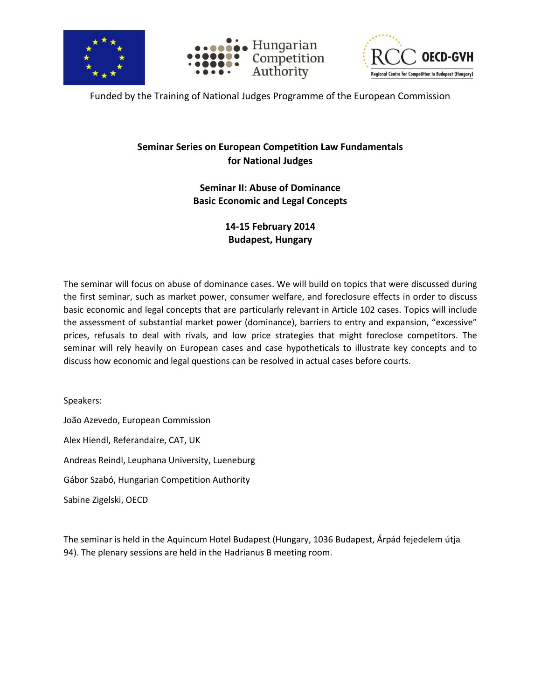





Funded by the Training of National Judges Programme of the European Commission

## **Seminar Series on European Competition Law Fundamentals for National Judges**

**Seminar II: Abuse of Dominance Basic Economic and Legal Concepts**

> **14-15 February 2014 Budapest, Hungary**

The seminar will focus on abuse of dominance cases. We will build on topics that were discussed during the first seminar, such as market power, consumer welfare, and foreclosure effects in order to discuss basic economic and legal concepts that are particularly relevant in Article 102 cases. Topics will include the assessment of substantial market power (dominance), barriers to entry and expansion, "excessive" prices, refusals to deal with rivals, and low price strategies that might foreclose competitors. The seminar will rely heavily on European cases and case hypotheticals to illustrate key concepts and to discuss how economic and legal questions can be resolved in actual cases before courts.

Speakers: João Azevedo, European Commission Alex Hiendl, Referandaire, CAT, UK Andreas Reindl, Leuphana University, Lueneburg Gábor Szabó, Hungarian Competition Authority Sabine Zigelski, OECD

The seminar is held in the Aquincum Hotel Budapest (Hungary, 1036 Budapest, Árpád fejedelem útja 94). The plenary sessions are held in the Hadrianus B meeting room.